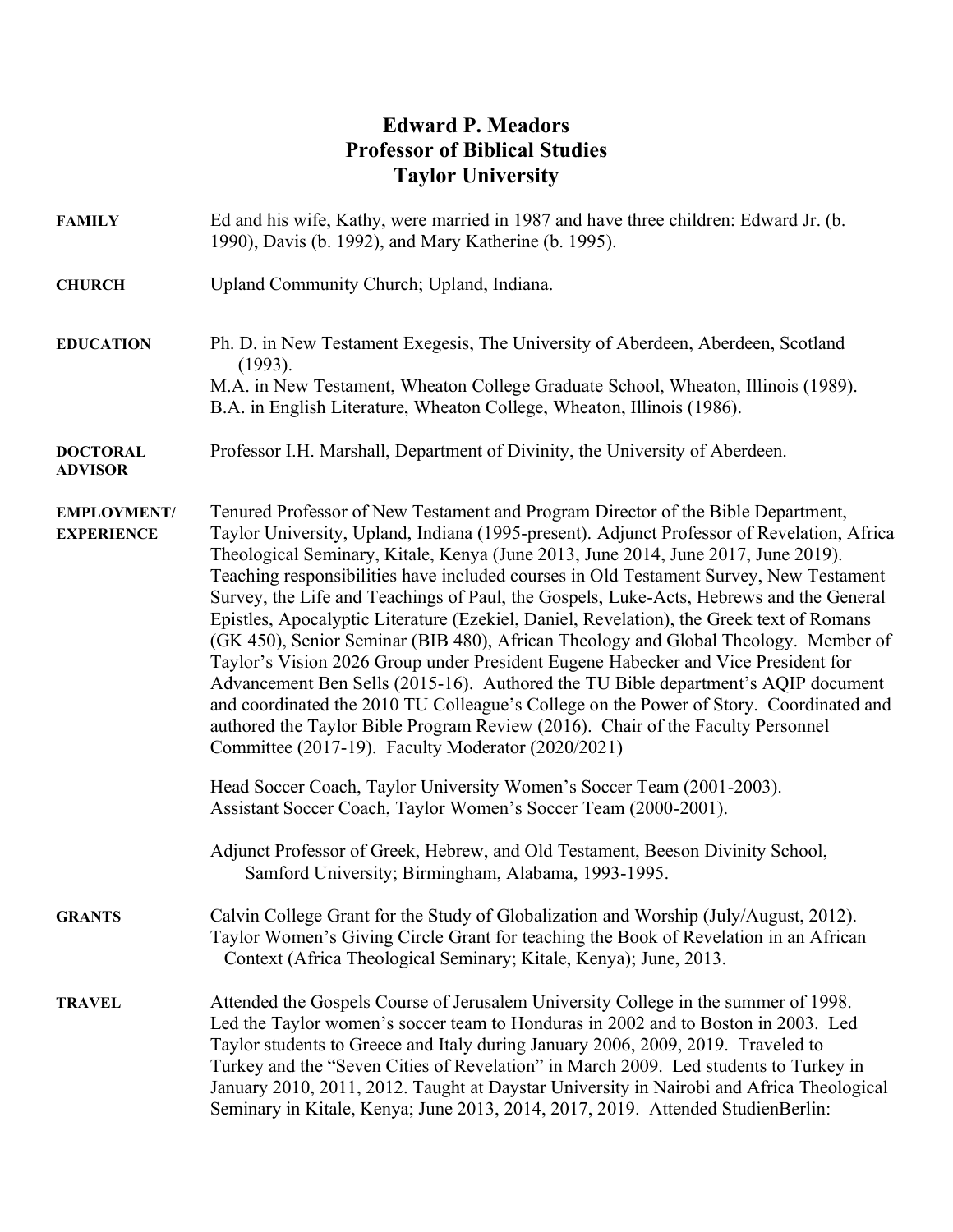## **Edward P. Meadors Professor of Biblical Studies Taylor University**

| <b>FAMILY</b>                           | Ed and his wife, Kathy, were married in 1987 and have three children: Edward Jr. (b.<br>1990), Davis (b. 1992), and Mary Katherine (b. 1995).                                                                                                                                                                                                                                                                                                                                                                                                                                                                                                                                                                                                                                                                                                                                                                                                                                                                                                            |
|-----------------------------------------|----------------------------------------------------------------------------------------------------------------------------------------------------------------------------------------------------------------------------------------------------------------------------------------------------------------------------------------------------------------------------------------------------------------------------------------------------------------------------------------------------------------------------------------------------------------------------------------------------------------------------------------------------------------------------------------------------------------------------------------------------------------------------------------------------------------------------------------------------------------------------------------------------------------------------------------------------------------------------------------------------------------------------------------------------------|
| <b>CHURCH</b>                           | Upland Community Church; Upland, Indiana.                                                                                                                                                                                                                                                                                                                                                                                                                                                                                                                                                                                                                                                                                                                                                                                                                                                                                                                                                                                                                |
| <b>EDUCATION</b>                        | Ph. D. in New Testament Exegesis, The University of Aberdeen, Aberdeen, Scotland<br>(1993).<br>M.A. in New Testament, Wheaton College Graduate School, Wheaton, Illinois (1989).                                                                                                                                                                                                                                                                                                                                                                                                                                                                                                                                                                                                                                                                                                                                                                                                                                                                         |
|                                         | B.A. in English Literature, Wheaton College, Wheaton, Illinois (1986).                                                                                                                                                                                                                                                                                                                                                                                                                                                                                                                                                                                                                                                                                                                                                                                                                                                                                                                                                                                   |
| <b>DOCTORAL</b><br><b>ADVISOR</b>       | Professor I.H. Marshall, Department of Divinity, the University of Aberdeen.                                                                                                                                                                                                                                                                                                                                                                                                                                                                                                                                                                                                                                                                                                                                                                                                                                                                                                                                                                             |
| <b>EMPLOYMENT/</b><br><b>EXPERIENCE</b> | Tenured Professor of New Testament and Program Director of the Bible Department,<br>Taylor University, Upland, Indiana (1995-present). Adjunct Professor of Revelation, Africa<br>Theological Seminary, Kitale, Kenya (June 2013, June 2014, June 2017, June 2019).<br>Teaching responsibilities have included courses in Old Testament Survey, New Testament<br>Survey, the Life and Teachings of Paul, the Gospels, Luke-Acts, Hebrews and the General<br>Epistles, Apocalyptic Literature (Ezekiel, Daniel, Revelation), the Greek text of Romans<br>(GK 450), Senior Seminar (BIB 480), African Theology and Global Theology. Member of<br>Taylor's Vision 2026 Group under President Eugene Habecker and Vice President for<br>Advancement Ben Sells (2015-16). Authored the TU Bible department's AQIP document<br>and coordinated the 2010 TU Colleague's College on the Power of Story. Coordinated and<br>authored the Taylor Bible Program Review (2016). Chair of the Faculty Personnel<br>Committee (2017-19). Faculty Moderator (2020/2021) |
|                                         | Head Soccer Coach, Taylor University Women's Soccer Team (2001-2003).<br>Assistant Soccer Coach, Taylor Women's Soccer Team (2000-2001).                                                                                                                                                                                                                                                                                                                                                                                                                                                                                                                                                                                                                                                                                                                                                                                                                                                                                                                 |
|                                         | Adjunct Professor of Greek, Hebrew, and Old Testament, Beeson Divinity School,<br>Samford University; Birmingham, Alabama, 1993-1995.                                                                                                                                                                                                                                                                                                                                                                                                                                                                                                                                                                                                                                                                                                                                                                                                                                                                                                                    |
| <b>GRANTS</b>                           | Calvin College Grant for the Study of Globalization and Worship (July/August, 2012).<br>Taylor Women's Giving Circle Grant for teaching the Book of Revelation in an African<br>Context (Africa Theological Seminary; Kitale, Kenya); June, 2013.                                                                                                                                                                                                                                                                                                                                                                                                                                                                                                                                                                                                                                                                                                                                                                                                        |
| <b>TRAVEL</b>                           | Attended the Gospels Course of Jerusalem University College in the summer of 1998.<br>Led the Taylor women's soccer team to Honduras in 2002 and to Boston in 2003. Led<br>Taylor students to Greece and Italy during January 2006, 2009, 2019. Traveled to<br>Turkey and the "Seven Cities of Revelation" in March 2009. Led students to Turkey in<br>January 2010, 2011, 2012. Taught at Daystar University in Nairobi and Africa Theological<br>Seminary in Kitale, Kenya; June 2013, 2014, 2017, 2019. Attended StudienBerlin:                                                                                                                                                                                                                                                                                                                                                                                                                                                                                                                       |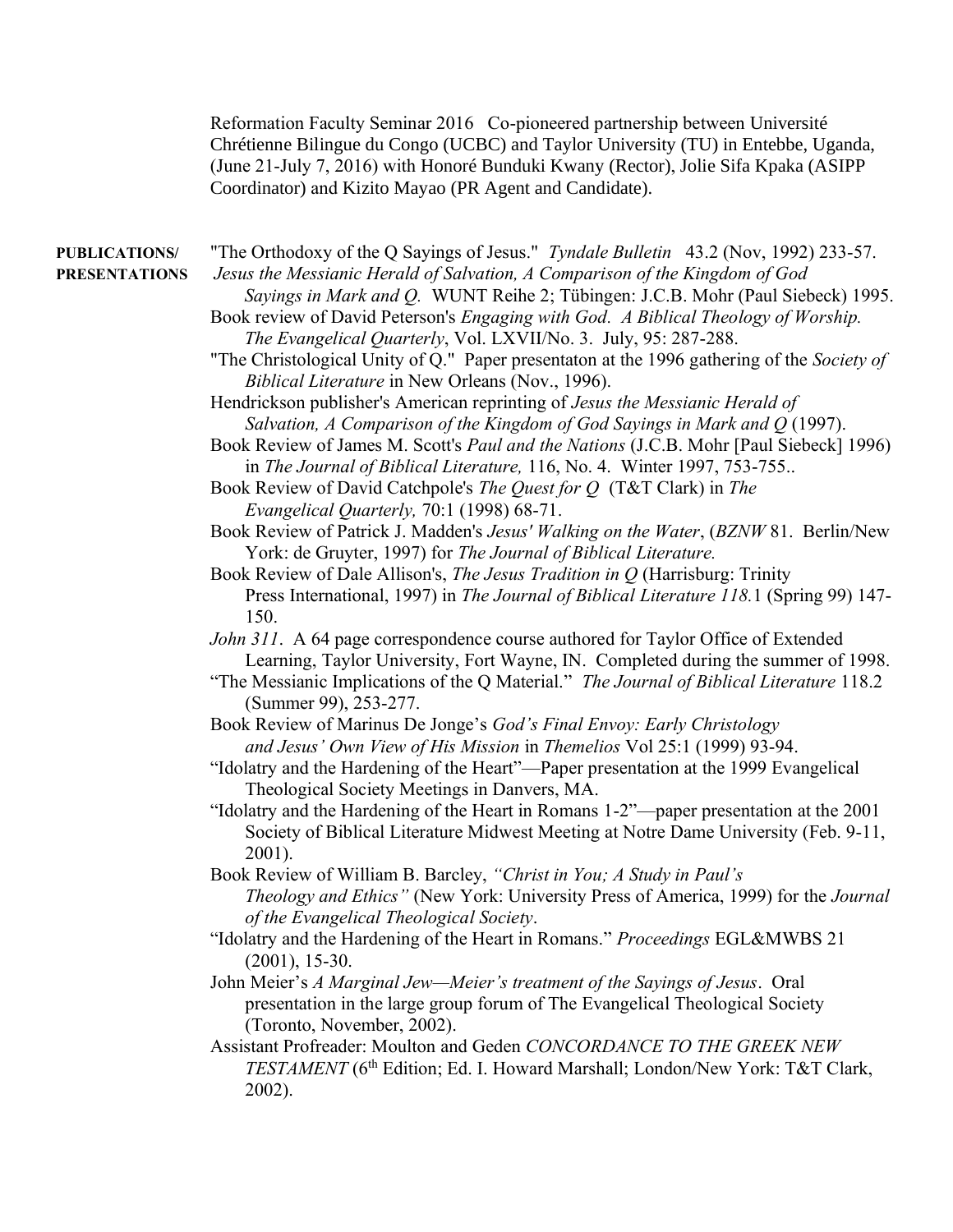Reformation Faculty Seminar 2016 Co-pioneered partnership between Université Chrétienne Bilingue du Congo (UCBC) and Taylor University (TU) in Entebbe, Uganda, (June 21-July 7, 2016) with Honoré Bunduki Kwany (Rector), Jolie Sifa Kpaka (ASIPP Coordinator) and Kizito Mayao (PR Agent and Candidate).

| <b>PUBLICATIONS/</b><br><b>PRESENTATIONS</b> | "The Orthodoxy of the Q Sayings of Jesus." Tyndale Bulletin 43.2 (Nov, 1992) 233-57.<br>Jesus the Messianic Herald of Salvation, A Comparison of the Kingdom of God<br>Sayings in Mark and Q. WUNT Reihe 2; Tübingen: J.C.B. Mohr (Paul Siebeck) 1995.<br>Book review of David Peterson's Engaging with God. A Biblical Theology of Worship. |
|----------------------------------------------|----------------------------------------------------------------------------------------------------------------------------------------------------------------------------------------------------------------------------------------------------------------------------------------------------------------------------------------------|
|                                              | The Evangelical Quarterly, Vol. LXVII/No. 3. July, 95: 287-288.<br>"The Christological Unity of Q." Paper presentaton at the 1996 gathering of the Society of<br>Biblical Literature in New Orleans (Nov., 1996).                                                                                                                            |
|                                              | Hendrickson publisher's American reprinting of Jesus the Messianic Herald of<br>Salvation, A Comparison of the Kingdom of God Sayings in Mark and Q (1997).<br>Book Review of James M. Scott's Paul and the Nations (J.C.B. Mohr [Paul Siebeck] 1996)                                                                                        |
|                                              | in The Journal of Biblical Literature, 116, No. 4. Winter 1997, 753-755<br>Book Review of David Catchpole's The Quest for Q (T&T Clark) in The<br>Evangelical Quarterly, 70:1 (1998) 68-71.                                                                                                                                                  |
|                                              | Book Review of Patrick J. Madden's Jesus' Walking on the Water, (BZNW 81. Berlin/New<br>York: de Gruyter, 1997) for The Journal of Biblical Literature.                                                                                                                                                                                      |
|                                              | Book Review of Dale Allison's, The Jesus Tradition in $Q$ (Harrisburg: Trinity<br>Press International, 1997) in The Journal of Biblical Literature 118.1 (Spring 99) 147-<br>150.                                                                                                                                                            |
|                                              | John 311. A 64 page correspondence course authored for Taylor Office of Extended<br>Learning, Taylor University, Fort Wayne, IN. Completed during the summer of 1998.                                                                                                                                                                        |
|                                              | "The Messianic Implications of the Q Material." The Journal of Biblical Literature 118.2<br>(Summer 99), 253-277.                                                                                                                                                                                                                            |
|                                              | Book Review of Marinus De Jonge's God's Final Envoy: Early Christology<br>and Jesus' Own View of His Mission in Themelios Vol 25:1 (1999) 93-94.                                                                                                                                                                                             |
|                                              | "Idolatry and the Hardening of the Heart"—Paper presentation at the 1999 Evangelical<br>Theological Society Meetings in Danvers, MA.                                                                                                                                                                                                         |
|                                              | "Idolatry and the Hardening of the Heart in Romans 1-2"—paper presentation at the 2001<br>Society of Biblical Literature Midwest Meeting at Notre Dame University (Feb. 9-11,<br>2001).                                                                                                                                                      |
|                                              | Book Review of William B. Barcley, "Christ in You; A Study in Paul's                                                                                                                                                                                                                                                                         |
|                                              | <i>Theology and Ethics</i> " (New York: University Press of America, 1999) for the Journal<br>of the Evangelical Theological Society.                                                                                                                                                                                                        |
|                                              | "Idolatry and the Hardening of the Heart in Romans." Proceedings EGL&MWBS 21<br>$(2001), 15-30.$                                                                                                                                                                                                                                             |
|                                              | John Meier's A Marginal Jew—Meier's treatment of the Sayings of Jesus. Oral<br>presentation in the large group forum of The Evangelical Theological Society<br>(Toronto, November, 2002).                                                                                                                                                    |
|                                              | Assistant Profreader: Moulton and Geden CONCORDANCE TO THE GREEK NEW<br>TESTAMENT (6 <sup>th</sup> Edition; Ed. I. Howard Marshall; London/New York: T&T Clark,<br>2002).                                                                                                                                                                    |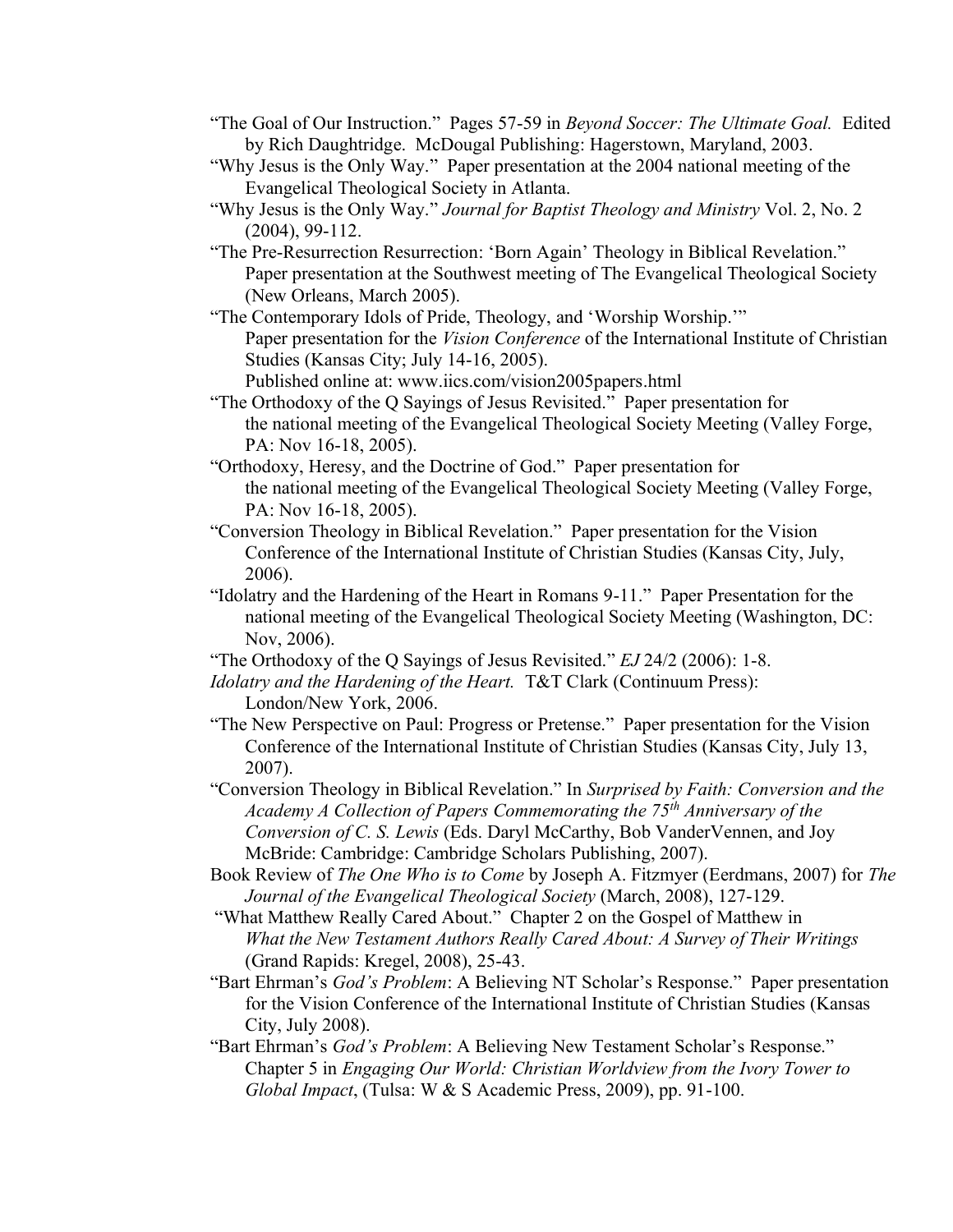- "The Goal of Our Instruction." Pages 57-59 in *Beyond Soccer: The Ultimate Goal.* Edited by Rich Daughtridge. McDougal Publishing: Hagerstown, Maryland, 2003.
- "Why Jesus is the Only Way." Paper presentation at the 2004 national meeting of the Evangelical Theological Society in Atlanta.
- "Why Jesus is the Only Way." *Journal for Baptist Theology and Ministry* Vol. 2, No. 2 (2004), 99-112.
- "The Pre-Resurrection Resurrection: 'Born Again' Theology in Biblical Revelation." Paper presentation at the Southwest meeting of The Evangelical Theological Society (New Orleans, March 2005).
- "The Contemporary Idols of Pride, Theology, and 'Worship Worship.'" Paper presentation for the *Vision Conference* of the International Institute of Christian Studies (Kansas City; July 14-16, 2005).

Published online at: www.iics.com/vision2005papers.html

- "The Orthodoxy of the Q Sayings of Jesus Revisited." Paper presentation for the national meeting of the Evangelical Theological Society Meeting (Valley Forge, PA: Nov 16-18, 2005).
- "Orthodoxy, Heresy, and the Doctrine of God." Paper presentation for the national meeting of the Evangelical Theological Society Meeting (Valley Forge, PA: Nov 16-18, 2005).
- "Conversion Theology in Biblical Revelation." Paper presentation for the Vision Conference of the International Institute of Christian Studies (Kansas City, July, 2006).
- "Idolatry and the Hardening of the Heart in Romans 9-11." Paper Presentation for the national meeting of the Evangelical Theological Society Meeting (Washington, DC: Nov, 2006).
- "The Orthodoxy of the Q Sayings of Jesus Revisited." *EJ* 24/2 (2006): 1-8.
- *Idolatry and the Hardening of the Heart.* T&T Clark (Continuum Press): London/New York, 2006.
- "The New Perspective on Paul: Progress or Pretense." Paper presentation for the Vision Conference of the International Institute of Christian Studies (Kansas City, July 13, 2007).
- "Conversion Theology in Biblical Revelation." In *Surprised by Faith: Conversion and the Academy A Collection of Papers Commemorating the 75th Anniversary of the Conversion of C. S. Lewis* (Eds. Daryl McCarthy, Bob VanderVennen, and Joy McBride: Cambridge: Cambridge Scholars Publishing, 2007).
- Book Review of *The One Who is to Come* by Joseph A. Fitzmyer (Eerdmans, 2007) for *The Journal of the Evangelical Theological Society* (March, 2008), 127-129.
- "What Matthew Really Cared About." Chapter 2 on the Gospel of Matthew in *What the New Testament Authors Really Cared About: A Survey of Their Writings*  (Grand Rapids: Kregel, 2008), 25-43.
- "Bart Ehrman's *God's Problem*: A Believing NT Scholar's Response." Paper presentation for the Vision Conference of the International Institute of Christian Studies (Kansas City, July 2008).
- "Bart Ehrman's *God's Problem*: A Believing New Testament Scholar's Response." Chapter 5 in *Engaging Our World: Christian Worldview from the Ivory Tower to Global Impact*, (Tulsa: W & S Academic Press, 2009), pp. 91-100.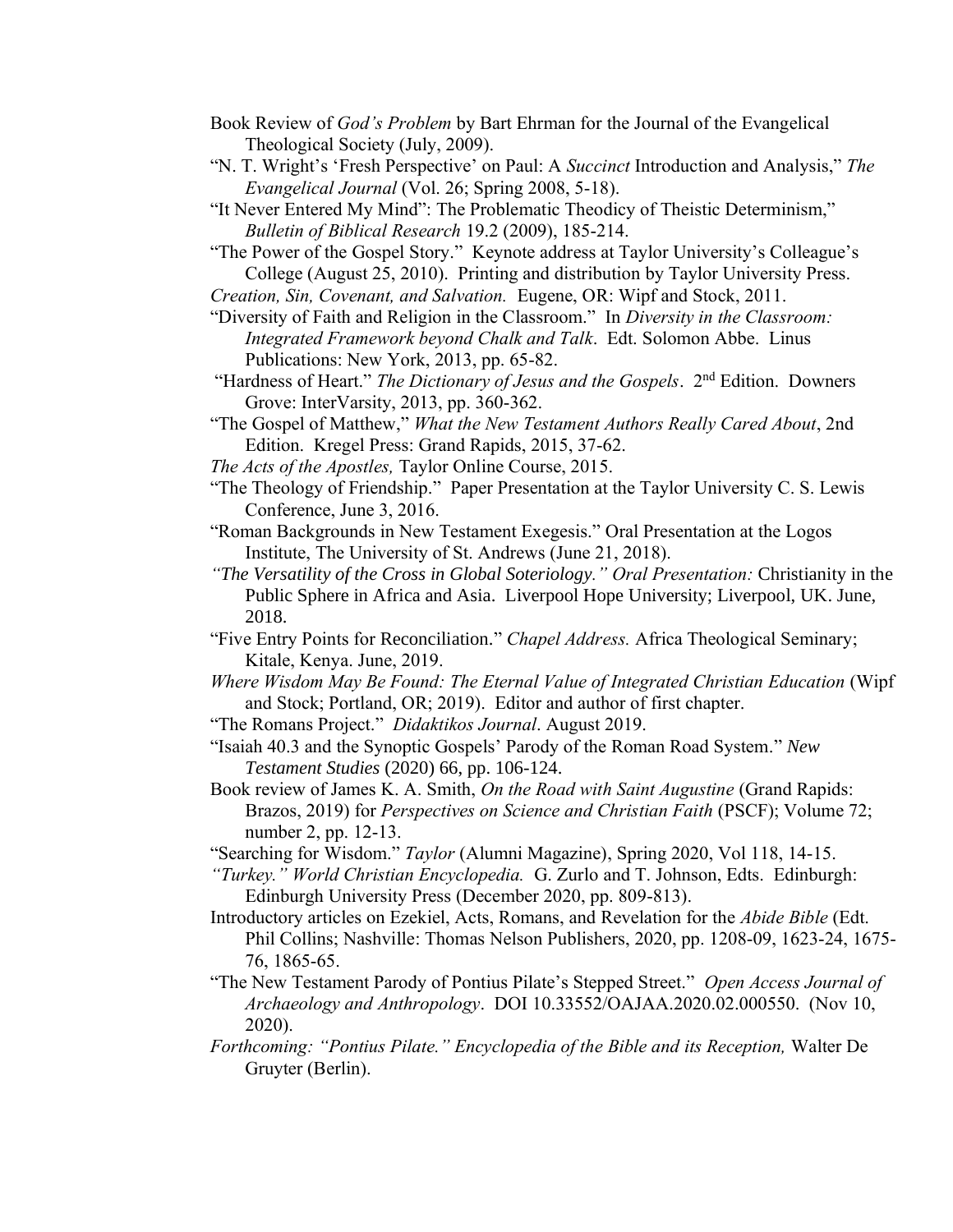- Book Review of *God's Problem* by Bart Ehrman for the Journal of the Evangelical Theological Society (July, 2009).
- "N. T. Wright's 'Fresh Perspective' on Paul: A *Succinct* Introduction and Analysis," *The Evangelical Journal* (Vol. 26; Spring 2008, 5-18).
- "It Never Entered My Mind": The Problematic Theodicy of Theistic Determinism," *Bulletin of Biblical Research* 19.2 (2009), 185-214.

"The Power of the Gospel Story." Keynote address at Taylor University's Colleague's College (August 25, 2010). Printing and distribution by Taylor University Press.

- *Creation, Sin, Covenant, and Salvation.* Eugene, OR: Wipf and Stock, 2011.
- "Diversity of Faith and Religion in the Classroom." In *Diversity in the Classroom: Integrated Framework beyond Chalk and Talk*. Edt. Solomon Abbe. Linus Publications: New York, 2013, pp. 65-82.
- "Hardness of Heart." *The Dictionary of Jesus and the Gospels*. 2<sup>nd</sup> Edition. Downers Grove: InterVarsity, 2013, pp. 360-362.
- "The Gospel of Matthew," *What the New Testament Authors Really Cared About*, 2nd Edition. Kregel Press: Grand Rapids, 2015, 37-62.
- *The Acts of the Apostles,* Taylor Online Course, 2015.
- "The Theology of Friendship." Paper Presentation at the Taylor University C. S. Lewis Conference, June 3, 2016.
- "Roman Backgrounds in New Testament Exegesis." Oral Presentation at the Logos Institute, The University of St. Andrews (June 21, 2018).
- *"The Versatility of the Cross in Global Soteriology." Oral Presentation:* Christianity in the Public Sphere in Africa and Asia. Liverpool Hope University; Liverpool, UK. June, 2018.
- "Five Entry Points for Reconciliation." *Chapel Address.* Africa Theological Seminary; Kitale, Kenya. June, 2019.
- *Where Wisdom May Be Found: The Eternal Value of Integrated Christian Education* (Wipf and Stock; Portland, OR; 2019). Editor and author of first chapter.
- "The Romans Project." *Didaktikos Journal*. August 2019.
- "Isaiah 40.3 and the Synoptic Gospels' Parody of the Roman Road System." *New Testament Studies* (2020) 66, pp. 106-124.
- Book review of James K. A. Smith, *On the Road with Saint Augustine* (Grand Rapids: Brazos, 2019) for *Perspectives on Science and Christian Faith* (PSCF); Volume 72; number 2, pp. 12-13.
- "Searching for Wisdom." *Taylor* (Alumni Magazine), Spring 2020, Vol 118, 14-15.
- *"Turkey." World Christian Encyclopedia.* G. Zurlo and T. Johnson, Edts. Edinburgh: Edinburgh University Press (December 2020, pp. 809-813).
- Introductory articles on Ezekiel, Acts, Romans, and Revelation for the *Abide Bible* (Edt. Phil Collins; Nashville: Thomas Nelson Publishers, 2020, pp. 1208-09, 1623-24, 1675- 76, 1865-65.
- "The New Testament Parody of Pontius Pilate's Stepped Street." *Open Access Journal of Archaeology and Anthropology*. DOI 10.33552/OAJAA.2020.02.000550. (Nov 10, 2020).
- *Forthcoming: "Pontius Pilate." Encyclopedia of the Bible and its Reception,* Walter De Gruyter (Berlin).